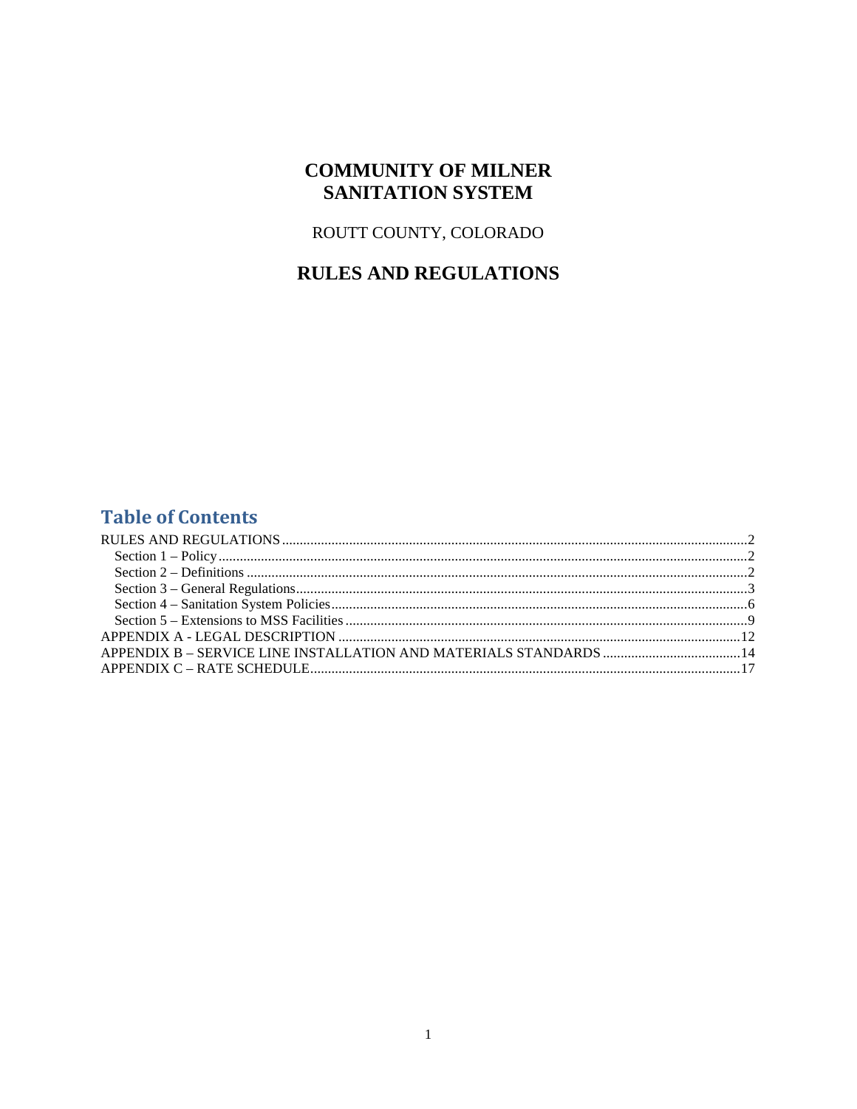## **COMMUNITY OF MILNER SANITATION SYSTEM**

### ROUTT COUNTY, COLORADO

# **RULES AND REGULATIONS**

## **Table of Contents**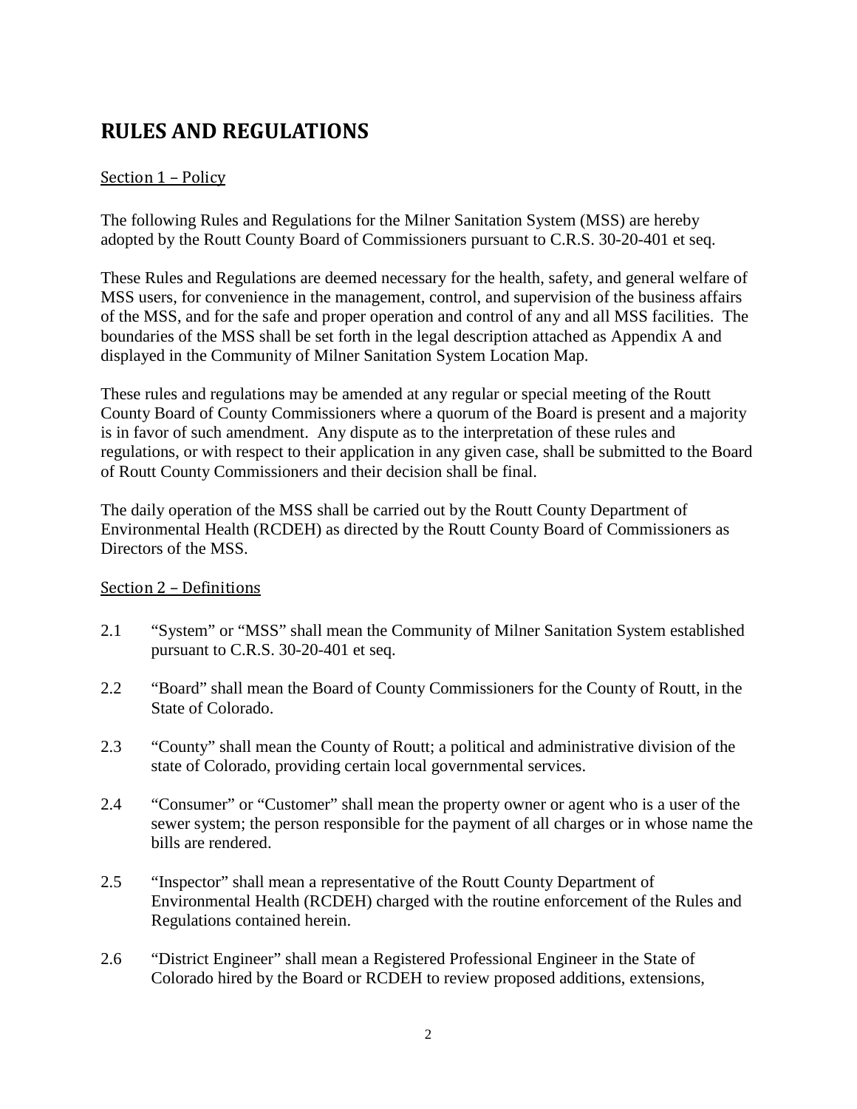# <span id="page-1-0"></span>**RULES AND REGULATIONS**

## <span id="page-1-1"></span>Section 1 – Policy

The following Rules and Regulations for the Milner Sanitation System (MSS) are hereby adopted by the Routt County Board of Commissioners pursuant to C.R.S. 30-20-401 et seq.

These Rules and Regulations are deemed necessary for the health, safety, and general welfare of MSS users, for convenience in the management, control, and supervision of the business affairs of the MSS, and for the safe and proper operation and control of any and all MSS facilities. The boundaries of the MSS shall be set forth in the legal description attached as Appendix A and displayed in the Community of Milner Sanitation System Location Map.

These rules and regulations may be amended at any regular or special meeting of the Routt County Board of County Commissioners where a quorum of the Board is present and a majority is in favor of such amendment. Any dispute as to the interpretation of these rules and regulations, or with respect to their application in any given case, shall be submitted to the Board of Routt County Commissioners and their decision shall be final.

The daily operation of the MSS shall be carried out by the Routt County Department of Environmental Health (RCDEH) as directed by the Routt County Board of Commissioners as Directors of the MSS.

### <span id="page-1-2"></span>Section 2 – Definitions

- 2.1 "System" or "MSS" shall mean the Community of Milner Sanitation System established pursuant to C.R.S. 30-20-401 et seq.
- 2.2 "Board" shall mean the Board of County Commissioners for the County of Routt, in the State of Colorado.
- 2.3 "County" shall mean the County of Routt; a political and administrative division of the state of Colorado, providing certain local governmental services.
- 2.4 "Consumer" or "Customer" shall mean the property owner or agent who is a user of the sewer system; the person responsible for the payment of all charges or in whose name the bills are rendered.
- 2.5 "Inspector" shall mean a representative of the Routt County Department of Environmental Health (RCDEH) charged with the routine enforcement of the Rules and Regulations contained herein.
- 2.6 "District Engineer" shall mean a Registered Professional Engineer in the State of Colorado hired by the Board or RCDEH to review proposed additions, extensions,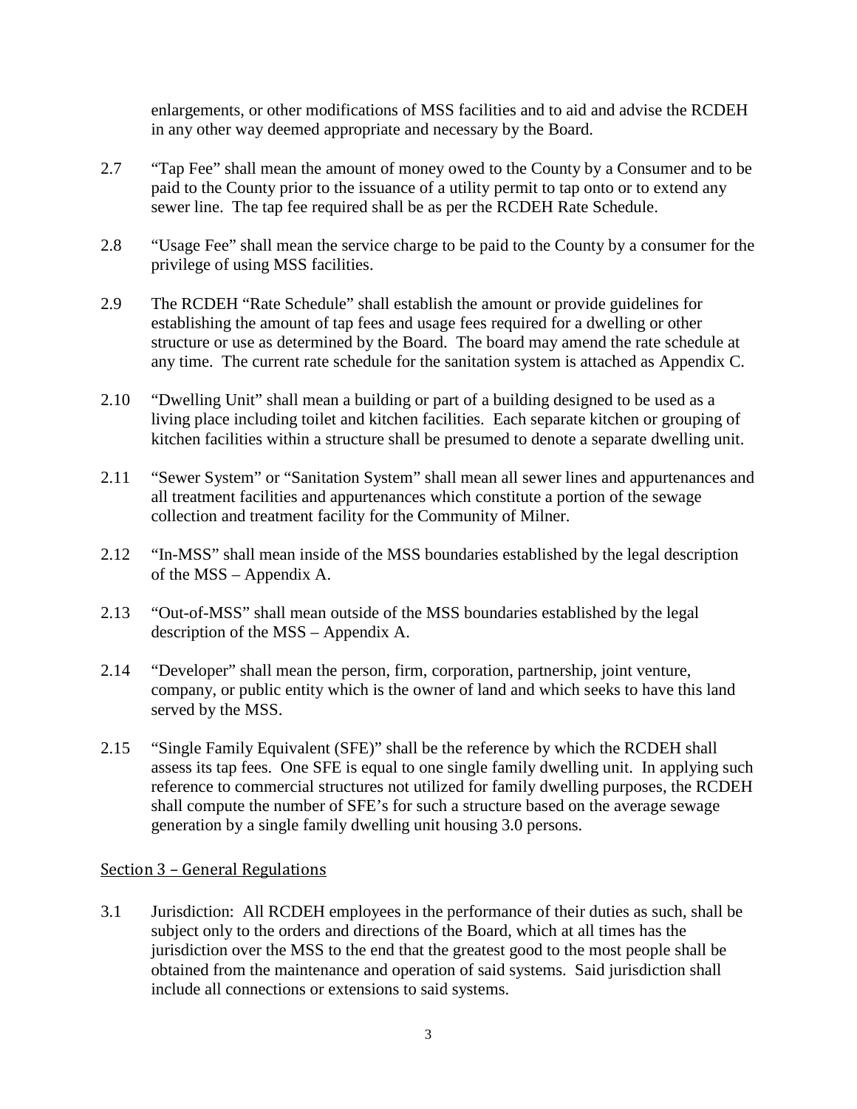enlargements, or other modifications of MSS facilities and to aid and advise the RCDEH in any other way deemed appropriate and necessary by the Board.

- 2.7 "Tap Fee" shall mean the amount of money owed to the County by a Consumer and to be paid to the County prior to the issuance of a utility permit to tap onto or to extend any sewer line. The tap fee required shall be as per the RCDEH Rate Schedule.
- 2.8 "Usage Fee" shall mean the service charge to be paid to the County by a consumer for the privilege of using MSS facilities.
- 2.9 The RCDEH "Rate Schedule" shall establish the amount or provide guidelines for establishing the amount of tap fees and usage fees required for a dwelling or other structure or use as determined by the Board. The board may amend the rate schedule at any time. The current rate schedule for the sanitation system is attached as Appendix C.
- 2.10 "Dwelling Unit" shall mean a building or part of a building designed to be used as a living place including toilet and kitchen facilities. Each separate kitchen or grouping of kitchen facilities within a structure shall be presumed to denote a separate dwelling unit.
- 2.11 "Sewer System" or "Sanitation System" shall mean all sewer lines and appurtenances and all treatment facilities and appurtenances which constitute a portion of the sewage collection and treatment facility for the Community of Milner.
- 2.12 "In-MSS" shall mean inside of the MSS boundaries established by the legal description of the MSS – Appendix A.
- 2.13 "Out-of-MSS" shall mean outside of the MSS boundaries established by the legal description of the MSS – Appendix A.
- 2.14 "Developer" shall mean the person, firm, corporation, partnership, joint venture, company, or public entity which is the owner of land and which seeks to have this land served by the MSS.
- 2.15 "Single Family Equivalent (SFE)" shall be the reference by which the RCDEH shall assess its tap fees. One SFE is equal to one single family dwelling unit. In applying such reference to commercial structures not utilized for family dwelling purposes, the RCDEH shall compute the number of SFE's for such a structure based on the average sewage generation by a single family dwelling unit housing 3.0 persons.

### <span id="page-2-0"></span>Section 3 – General Regulations

3.1 Jurisdiction: All RCDEH employees in the performance of their duties as such, shall be subject only to the orders and directions of the Board, which at all times has the jurisdiction over the MSS to the end that the greatest good to the most people shall be obtained from the maintenance and operation of said systems. Said jurisdiction shall include all connections or extensions to said systems.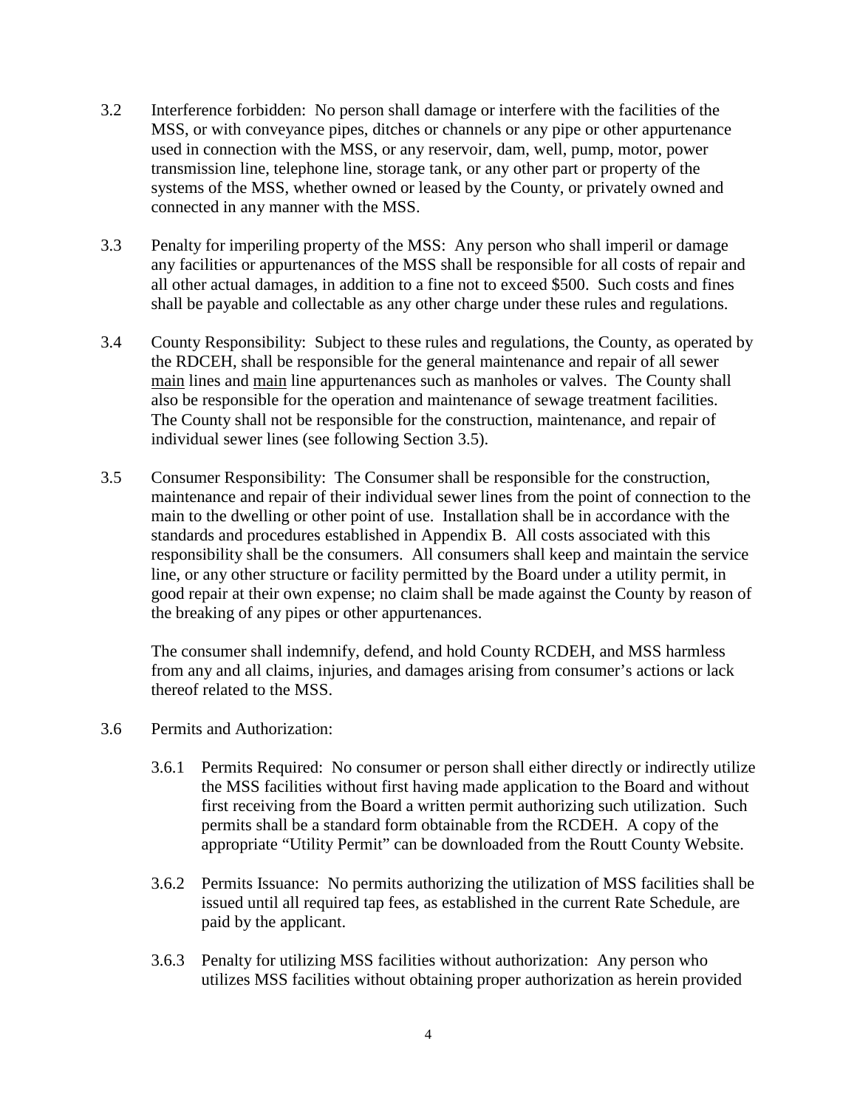- 3.2 Interference forbidden: No person shall damage or interfere with the facilities of the MSS, or with conveyance pipes, ditches or channels or any pipe or other appurtenance used in connection with the MSS, or any reservoir, dam, well, pump, motor, power transmission line, telephone line, storage tank, or any other part or property of the systems of the MSS, whether owned or leased by the County, or privately owned and connected in any manner with the MSS.
- 3.3 Penalty for imperiling property of the MSS: Any person who shall imperil or damage any facilities or appurtenances of the MSS shall be responsible for all costs of repair and all other actual damages, in addition to a fine not to exceed \$500. Such costs and fines shall be payable and collectable as any other charge under these rules and regulations.
- 3.4 County Responsibility: Subject to these rules and regulations, the County, as operated by the RDCEH, shall be responsible for the general maintenance and repair of all sewer main lines and main line appurtenances such as manholes or valves. The County shall also be responsible for the operation and maintenance of sewage treatment facilities. The County shall not be responsible for the construction, maintenance, and repair of individual sewer lines (see following Section 3.5).
- 3.5 Consumer Responsibility: The Consumer shall be responsible for the construction, maintenance and repair of their individual sewer lines from the point of connection to the main to the dwelling or other point of use. Installation shall be in accordance with the standards and procedures established in Appendix B. All costs associated with this responsibility shall be the consumers. All consumers shall keep and maintain the service line, or any other structure or facility permitted by the Board under a utility permit, in good repair at their own expense; no claim shall be made against the County by reason of the breaking of any pipes or other appurtenances.

The consumer shall indemnify, defend, and hold County RCDEH, and MSS harmless from any and all claims, injuries, and damages arising from consumer's actions or lack thereof related to the MSS.

- 3.6 Permits and Authorization:
	- 3.6.1 Permits Required: No consumer or person shall either directly or indirectly utilize the MSS facilities without first having made application to the Board and without first receiving from the Board a written permit authorizing such utilization. Such permits shall be a standard form obtainable from the RCDEH. A copy of the appropriate "Utility Permit" can be downloaded from the Routt County Website.
	- 3.6.2 Permits Issuance: No permits authorizing the utilization of MSS facilities shall be issued until all required tap fees, as established in the current Rate Schedule, are paid by the applicant.
	- 3.6.3 Penalty for utilizing MSS facilities without authorization: Any person who utilizes MSS facilities without obtaining proper authorization as herein provided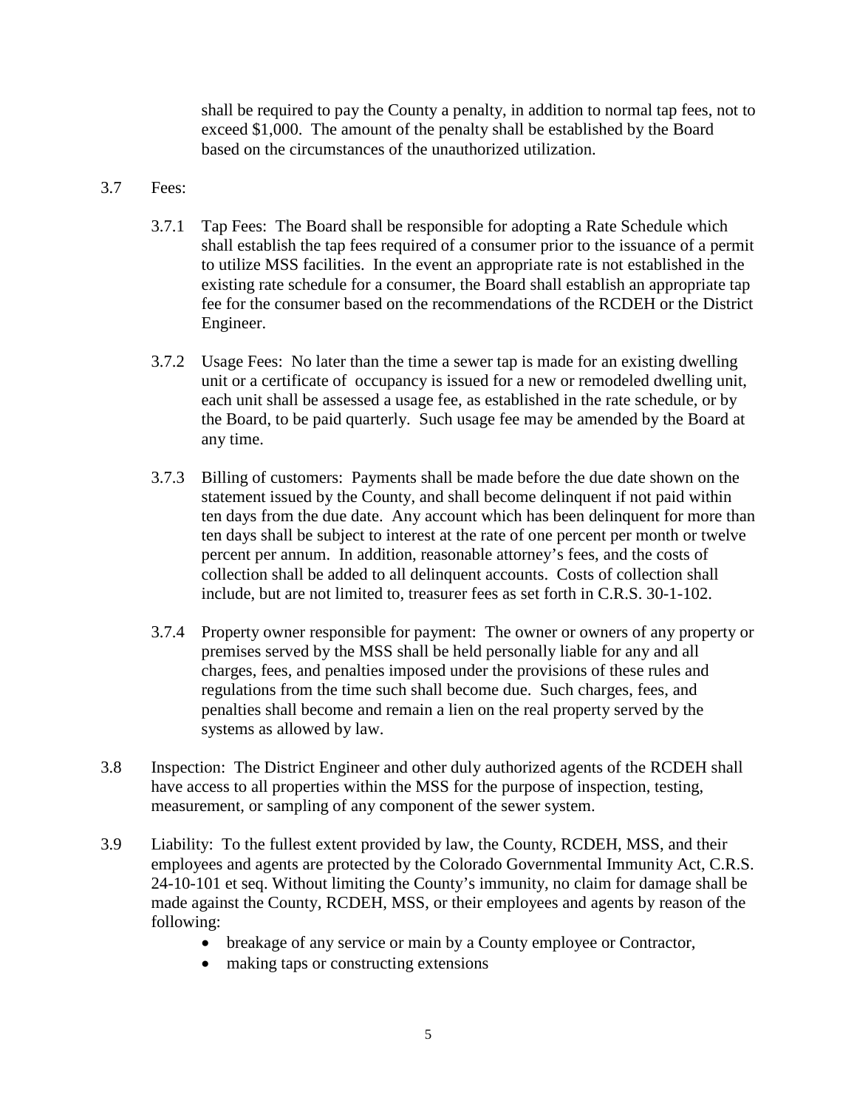shall be required to pay the County a penalty, in addition to normal tap fees, not to exceed \$1,000. The amount of the penalty shall be established by the Board based on the circumstances of the unauthorized utilization.

#### 3.7 Fees:

- 3.7.1 Tap Fees: The Board shall be responsible for adopting a Rate Schedule which shall establish the tap fees required of a consumer prior to the issuance of a permit to utilize MSS facilities. In the event an appropriate rate is not established in the existing rate schedule for a consumer, the Board shall establish an appropriate tap fee for the consumer based on the recommendations of the RCDEH or the District Engineer.
- 3.7.2 Usage Fees: No later than the time a sewer tap is made for an existing dwelling unit or a certificate of occupancy is issued for a new or remodeled dwelling unit, each unit shall be assessed a usage fee, as established in the rate schedule, or by the Board, to be paid quarterly. Such usage fee may be amended by the Board at any time.
- 3.7.3 Billing of customers: Payments shall be made before the due date shown on the statement issued by the County, and shall become delinquent if not paid within ten days from the due date. Any account which has been delinquent for more than ten days shall be subject to interest at the rate of one percent per month or twelve percent per annum. In addition, reasonable attorney's fees, and the costs of collection shall be added to all delinquent accounts. Costs of collection shall include, but are not limited to, treasurer fees as set forth in C.R.S. 30-1-102.
- 3.7.4 Property owner responsible for payment: The owner or owners of any property or premises served by the MSS shall be held personally liable for any and all charges, fees, and penalties imposed under the provisions of these rules and regulations from the time such shall become due. Such charges, fees, and penalties shall become and remain a lien on the real property served by the systems as allowed by law.
- 3.8 Inspection: The District Engineer and other duly authorized agents of the RCDEH shall have access to all properties within the MSS for the purpose of inspection, testing, measurement, or sampling of any component of the sewer system.
- 3.9 Liability: To the fullest extent provided by law, the County, RCDEH, MSS, and their employees and agents are protected by the Colorado Governmental Immunity Act, C.R.S. 24-10-101 et seq. Without limiting the County's immunity, no claim for damage shall be made against the County, RCDEH, MSS, or their employees and agents by reason of the following:
	- breakage of any service or main by a County employee or Contractor,
	- making taps or constructing extensions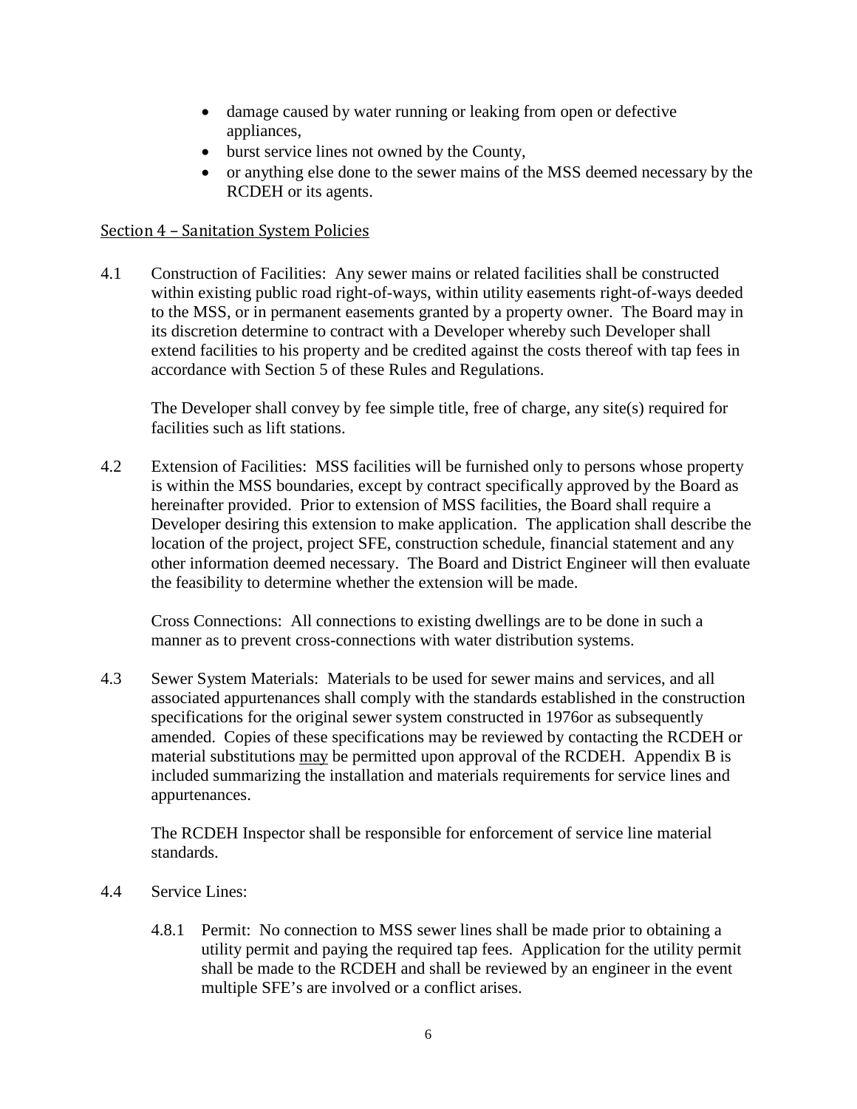- damage caused by water running or leaking from open or defective appliances,
- burst service lines not owned by the County,
- or anything else done to the sewer mains of the MSS deemed necessary by the RCDEH or its agents.

#### <span id="page-5-0"></span>Section 4 – Sanitation System Policies

4.1 Construction of Facilities: Any sewer mains or related facilities shall be constructed within existing public road right-of-ways, within utility easements right-of-ways deeded to the MSS, or in permanent easements granted by a property owner. The Board may in its discretion determine to contract with a Developer whereby such Developer shall extend facilities to his property and be credited against the costs thereof with tap fees in accordance with Section 5 of these Rules and Regulations.

The Developer shall convey by fee simple title, free of charge, any site(s) required for facilities such as lift stations.

4.2 Extension of Facilities: MSS facilities will be furnished only to persons whose property is within the MSS boundaries, except by contract specifically approved by the Board as hereinafter provided. Prior to extension of MSS facilities, the Board shall require a Developer desiring this extension to make application. The application shall describe the location of the project, project SFE, construction schedule, financial statement and any other information deemed necessary. The Board and District Engineer will then evaluate the feasibility to determine whether the extension will be made.

Cross Connections: All connections to existing dwellings are to be done in such a manner as to prevent cross-connections with water distribution systems.

4.3 Sewer System Materials: Materials to be used for sewer mains and services, and all associated appurtenances shall comply with the standards established in the construction specifications for the original sewer system constructed in 1976or as subsequently amended. Copies of these specifications may be reviewed by contacting the RCDEH or material substitutions may be permitted upon approval of the RCDEH. Appendix B is included summarizing the installation and materials requirements for service lines and appurtenances.

The RCDEH Inspector shall be responsible for enforcement of service line material standards.

- 4.4 Service Lines:
	- 4.8.1 Permit: No connection to MSS sewer lines shall be made prior to obtaining a utility permit and paying the required tap fees. Application for the utility permit shall be made to the RCDEH and shall be reviewed by an engineer in the event multiple SFE's are involved or a conflict arises.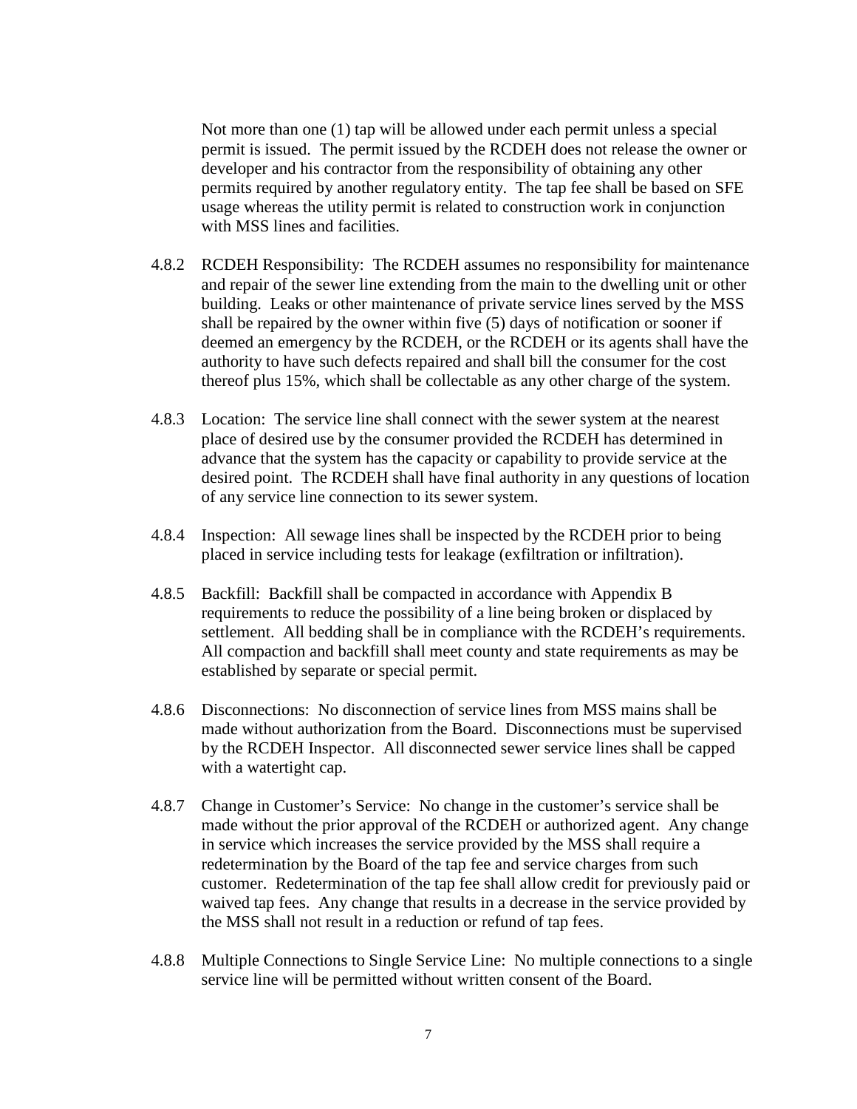Not more than one (1) tap will be allowed under each permit unless a special permit is issued. The permit issued by the RCDEH does not release the owner or developer and his contractor from the responsibility of obtaining any other permits required by another regulatory entity. The tap fee shall be based on SFE usage whereas the utility permit is related to construction work in conjunction with MSS lines and facilities.

- 4.8.2 RCDEH Responsibility: The RCDEH assumes no responsibility for maintenance and repair of the sewer line extending from the main to the dwelling unit or other building. Leaks or other maintenance of private service lines served by the MSS shall be repaired by the owner within five (5) days of notification or sooner if deemed an emergency by the RCDEH, or the RCDEH or its agents shall have the authority to have such defects repaired and shall bill the consumer for the cost thereof plus 15%, which shall be collectable as any other charge of the system.
- 4.8.3 Location: The service line shall connect with the sewer system at the nearest place of desired use by the consumer provided the RCDEH has determined in advance that the system has the capacity or capability to provide service at the desired point. The RCDEH shall have final authority in any questions of location of any service line connection to its sewer system.
- 4.8.4 Inspection: All sewage lines shall be inspected by the RCDEH prior to being placed in service including tests for leakage (exfiltration or infiltration).
- 4.8.5 Backfill: Backfill shall be compacted in accordance with Appendix B requirements to reduce the possibility of a line being broken or displaced by settlement. All bedding shall be in compliance with the RCDEH's requirements. All compaction and backfill shall meet county and state requirements as may be established by separate or special permit.
- 4.8.6 Disconnections: No disconnection of service lines from MSS mains shall be made without authorization from the Board. Disconnections must be supervised by the RCDEH Inspector. All disconnected sewer service lines shall be capped with a watertight cap.
- 4.8.7 Change in Customer's Service: No change in the customer's service shall be made without the prior approval of the RCDEH or authorized agent. Any change in service which increases the service provided by the MSS shall require a redetermination by the Board of the tap fee and service charges from such customer. Redetermination of the tap fee shall allow credit for previously paid or waived tap fees. Any change that results in a decrease in the service provided by the MSS shall not result in a reduction or refund of tap fees.
- 4.8.8 Multiple Connections to Single Service Line: No multiple connections to a single service line will be permitted without written consent of the Board.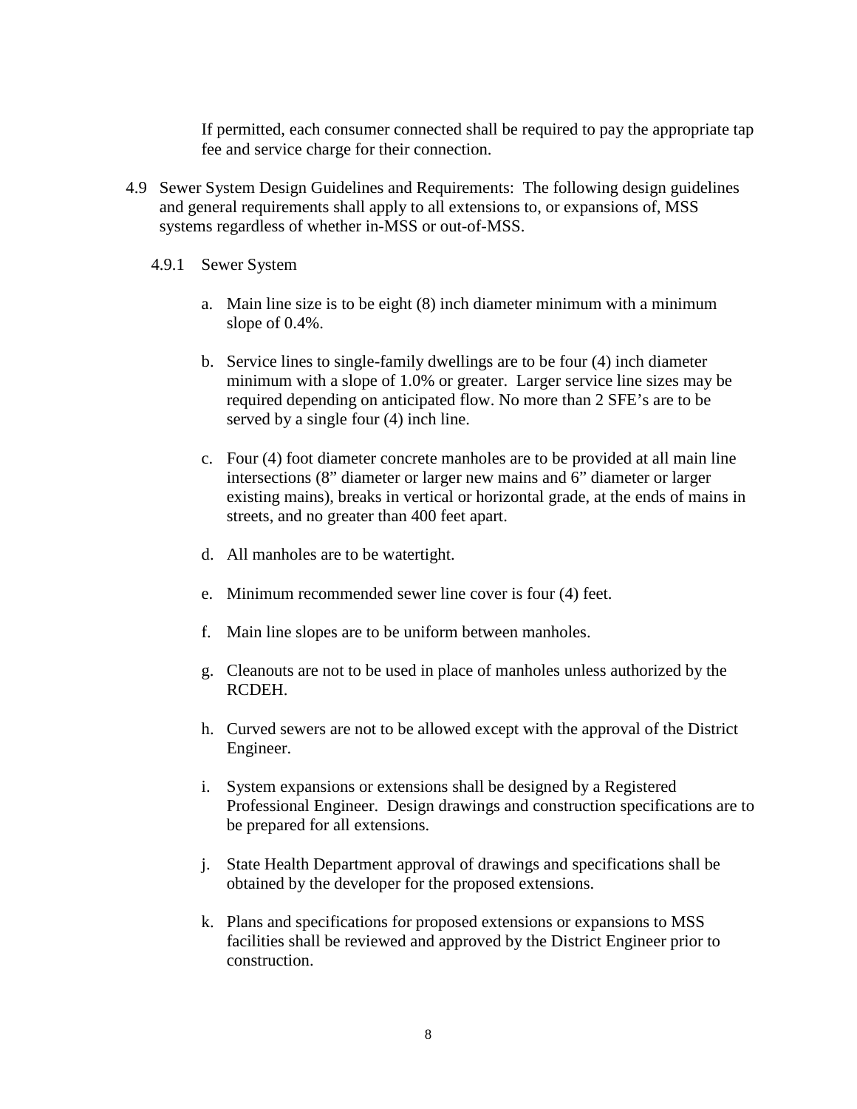If permitted, each consumer connected shall be required to pay the appropriate tap fee and service charge for their connection.

- 4.9 Sewer System Design Guidelines and Requirements: The following design guidelines and general requirements shall apply to all extensions to, or expansions of, MSS systems regardless of whether in-MSS or out-of-MSS.
	- 4.9.1 Sewer System
		- a. Main line size is to be eight (8) inch diameter minimum with a minimum slope of 0.4%.
		- b. Service lines to single-family dwellings are to be four (4) inch diameter minimum with a slope of 1.0% or greater. Larger service line sizes may be required depending on anticipated flow. No more than 2 SFE's are to be served by a single four (4) inch line.
		- c. Four (4) foot diameter concrete manholes are to be provided at all main line intersections (8" diameter or larger new mains and 6" diameter or larger existing mains), breaks in vertical or horizontal grade, at the ends of mains in streets, and no greater than 400 feet apart.
		- d. All manholes are to be watertight.
		- e. Minimum recommended sewer line cover is four (4) feet.
		- f. Main line slopes are to be uniform between manholes.
		- g. Cleanouts are not to be used in place of manholes unless authorized by the RCDEH.
		- h. Curved sewers are not to be allowed except with the approval of the District Engineer.
		- i. System expansions or extensions shall be designed by a Registered Professional Engineer. Design drawings and construction specifications are to be prepared for all extensions.
		- j. State Health Department approval of drawings and specifications shall be obtained by the developer for the proposed extensions.
		- k. Plans and specifications for proposed extensions or expansions to MSS facilities shall be reviewed and approved by the District Engineer prior to construction.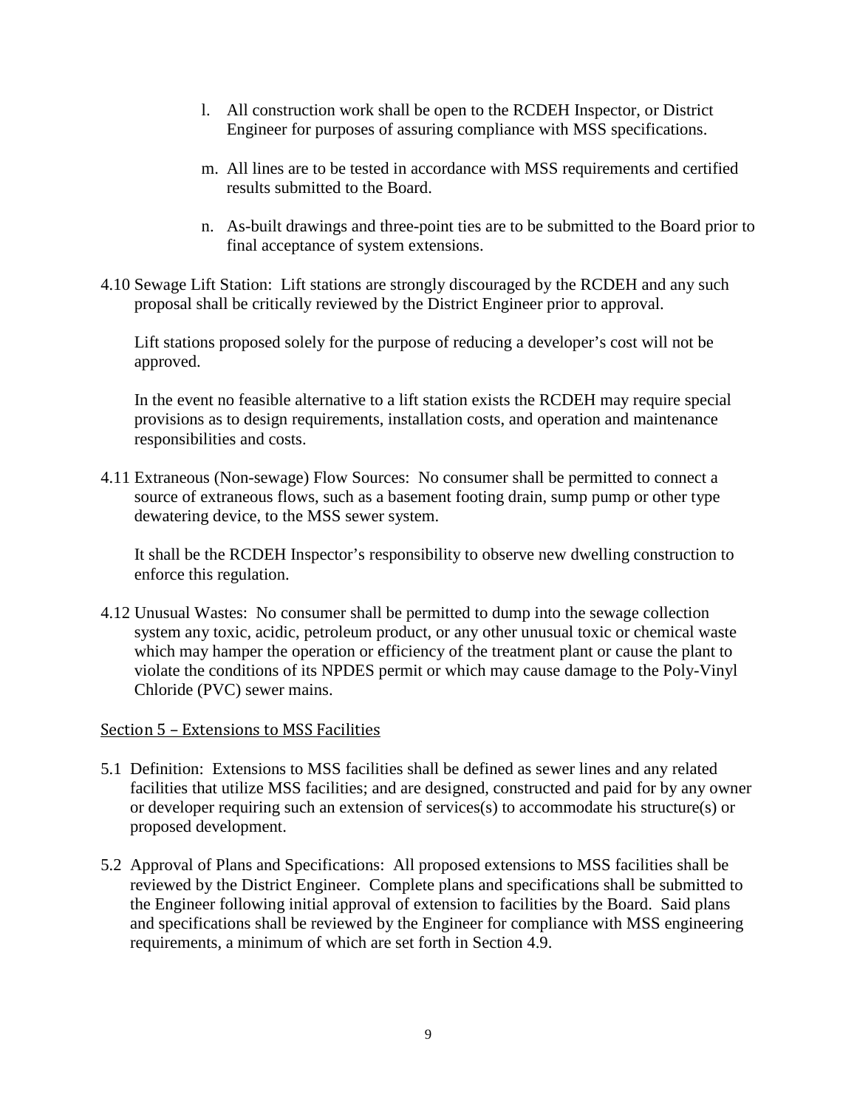- l. All construction work shall be open to the RCDEH Inspector, or District Engineer for purposes of assuring compliance with MSS specifications.
- m. All lines are to be tested in accordance with MSS requirements and certified results submitted to the Board.
- n. As-built drawings and three-point ties are to be submitted to the Board prior to final acceptance of system extensions.
- 4.10 Sewage Lift Station: Lift stations are strongly discouraged by the RCDEH and any such proposal shall be critically reviewed by the District Engineer prior to approval.

Lift stations proposed solely for the purpose of reducing a developer's cost will not be approved.

In the event no feasible alternative to a lift station exists the RCDEH may require special provisions as to design requirements, installation costs, and operation and maintenance responsibilities and costs.

4.11 Extraneous (Non-sewage) Flow Sources: No consumer shall be permitted to connect a source of extraneous flows, such as a basement footing drain, sump pump or other type dewatering device, to the MSS sewer system.

It shall be the RCDEH Inspector's responsibility to observe new dwelling construction to enforce this regulation.

4.12 Unusual Wastes: No consumer shall be permitted to dump into the sewage collection system any toxic, acidic, petroleum product, or any other unusual toxic or chemical waste which may hamper the operation or efficiency of the treatment plant or cause the plant to violate the conditions of its NPDES permit or which may cause damage to the Poly-Vinyl Chloride (PVC) sewer mains.

#### <span id="page-8-0"></span>Section 5 – Extensions to MSS Facilities

- 5.1 Definition: Extensions to MSS facilities shall be defined as sewer lines and any related facilities that utilize MSS facilities; and are designed, constructed and paid for by any owner or developer requiring such an extension of services(s) to accommodate his structure(s) or proposed development.
- 5.2 Approval of Plans and Specifications: All proposed extensions to MSS facilities shall be reviewed by the District Engineer. Complete plans and specifications shall be submitted to the Engineer following initial approval of extension to facilities by the Board. Said plans and specifications shall be reviewed by the Engineer for compliance with MSS engineering requirements, a minimum of which are set forth in Section 4.9.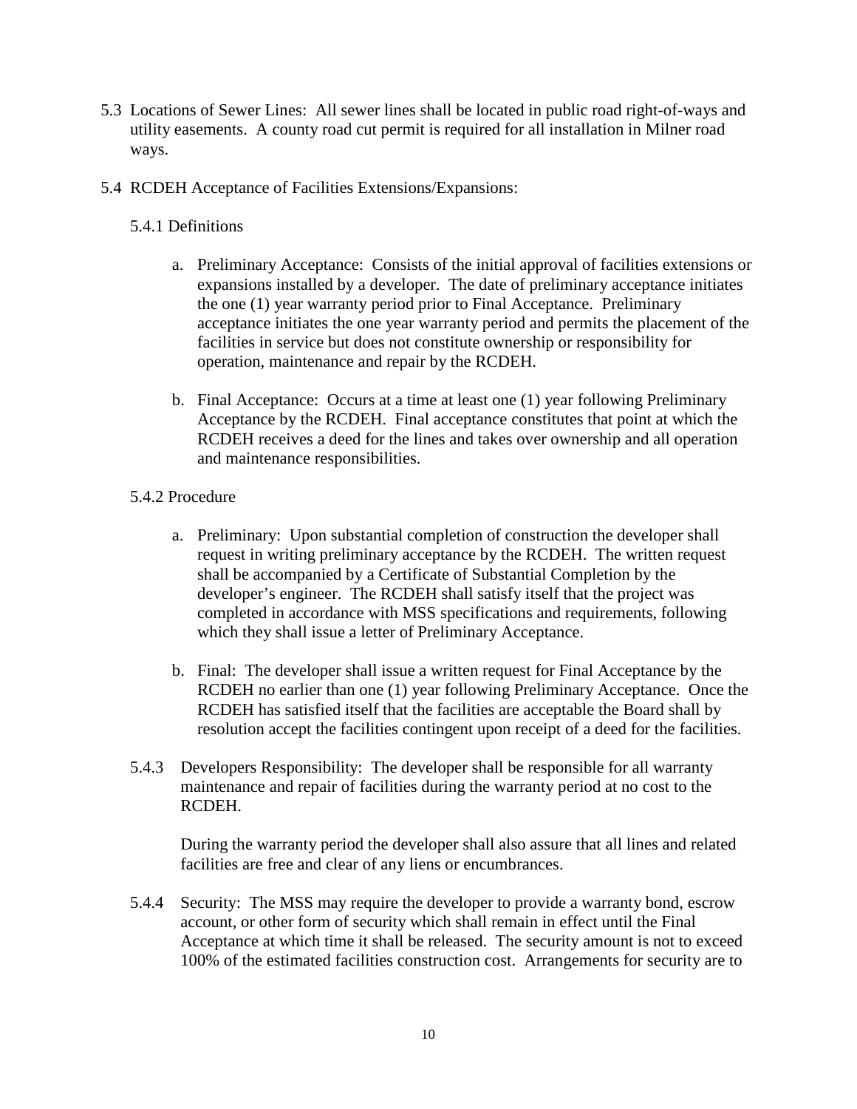- 5.3 Locations of Sewer Lines: All sewer lines shall be located in public road right-of-ways and utility easements. A county road cut permit is required for all installation in Milner road ways.
- 5.4 RCDEH Acceptance of Facilities Extensions/Expansions:
	- 5.4.1 Definitions
		- a. Preliminary Acceptance: Consists of the initial approval of facilities extensions or expansions installed by a developer. The date of preliminary acceptance initiates the one (1) year warranty period prior to Final Acceptance. Preliminary acceptance initiates the one year warranty period and permits the placement of the facilities in service but does not constitute ownership or responsibility for operation, maintenance and repair by the RCDEH.
		- b. Final Acceptance: Occurs at a time at least one (1) year following Preliminary Acceptance by the RCDEH. Final acceptance constitutes that point at which the RCDEH receives a deed for the lines and takes over ownership and all operation and maintenance responsibilities.

#### 5.4.2 Procedure

- a. Preliminary: Upon substantial completion of construction the developer shall request in writing preliminary acceptance by the RCDEH. The written request shall be accompanied by a Certificate of Substantial Completion by the developer's engineer. The RCDEH shall satisfy itself that the project was completed in accordance with MSS specifications and requirements, following which they shall issue a letter of Preliminary Acceptance.
- b. Final: The developer shall issue a written request for Final Acceptance by the RCDEH no earlier than one (1) year following Preliminary Acceptance. Once the RCDEH has satisfied itself that the facilities are acceptable the Board shall by resolution accept the facilities contingent upon receipt of a deed for the facilities.
- 5.4.3 Developers Responsibility: The developer shall be responsible for all warranty maintenance and repair of facilities during the warranty period at no cost to the RCDEH.

During the warranty period the developer shall also assure that all lines and related facilities are free and clear of any liens or encumbrances.

5.4.4 Security: The MSS may require the developer to provide a warranty bond, escrow account, or other form of security which shall remain in effect until the Final Acceptance at which time it shall be released. The security amount is not to exceed 100% of the estimated facilities construction cost. Arrangements for security are to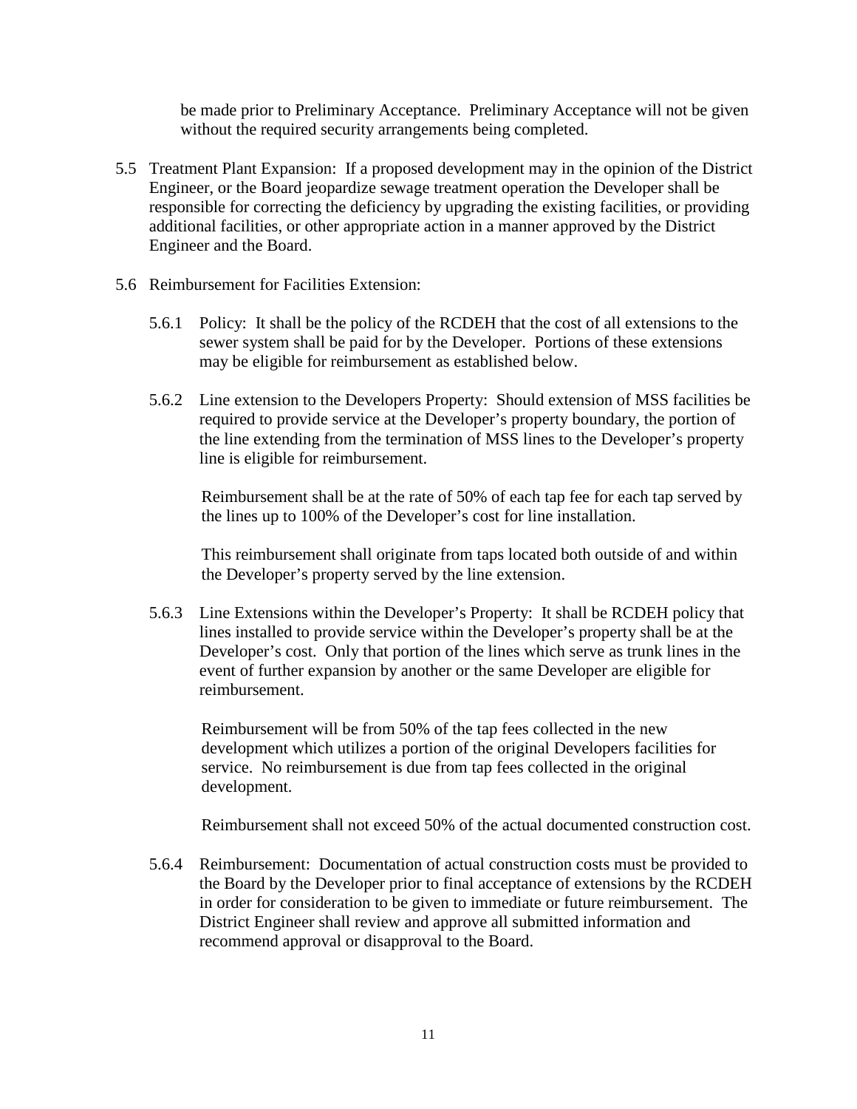be made prior to Preliminary Acceptance. Preliminary Acceptance will not be given without the required security arrangements being completed.

- 5.5 Treatment Plant Expansion: If a proposed development may in the opinion of the District Engineer, or the Board jeopardize sewage treatment operation the Developer shall be responsible for correcting the deficiency by upgrading the existing facilities, or providing additional facilities, or other appropriate action in a manner approved by the District Engineer and the Board.
- 5.6 Reimbursement for Facilities Extension:
	- 5.6.1 Policy: It shall be the policy of the RCDEH that the cost of all extensions to the sewer system shall be paid for by the Developer. Portions of these extensions may be eligible for reimbursement as established below.
	- 5.6.2 Line extension to the Developers Property: Should extension of MSS facilities be required to provide service at the Developer's property boundary, the portion of the line extending from the termination of MSS lines to the Developer's property line is eligible for reimbursement.

Reimbursement shall be at the rate of 50% of each tap fee for each tap served by the lines up to 100% of the Developer's cost for line installation.

This reimbursement shall originate from taps located both outside of and within the Developer's property served by the line extension.

5.6.3 Line Extensions within the Developer's Property: It shall be RCDEH policy that lines installed to provide service within the Developer's property shall be at the Developer's cost. Only that portion of the lines which serve as trunk lines in the event of further expansion by another or the same Developer are eligible for reimbursement.

Reimbursement will be from 50% of the tap fees collected in the new development which utilizes a portion of the original Developers facilities for service. No reimbursement is due from tap fees collected in the original development.

Reimbursement shall not exceed 50% of the actual documented construction cost.

5.6.4 Reimbursement: Documentation of actual construction costs must be provided to the Board by the Developer prior to final acceptance of extensions by the RCDEH in order for consideration to be given to immediate or future reimbursement. The District Engineer shall review and approve all submitted information and recommend approval or disapproval to the Board.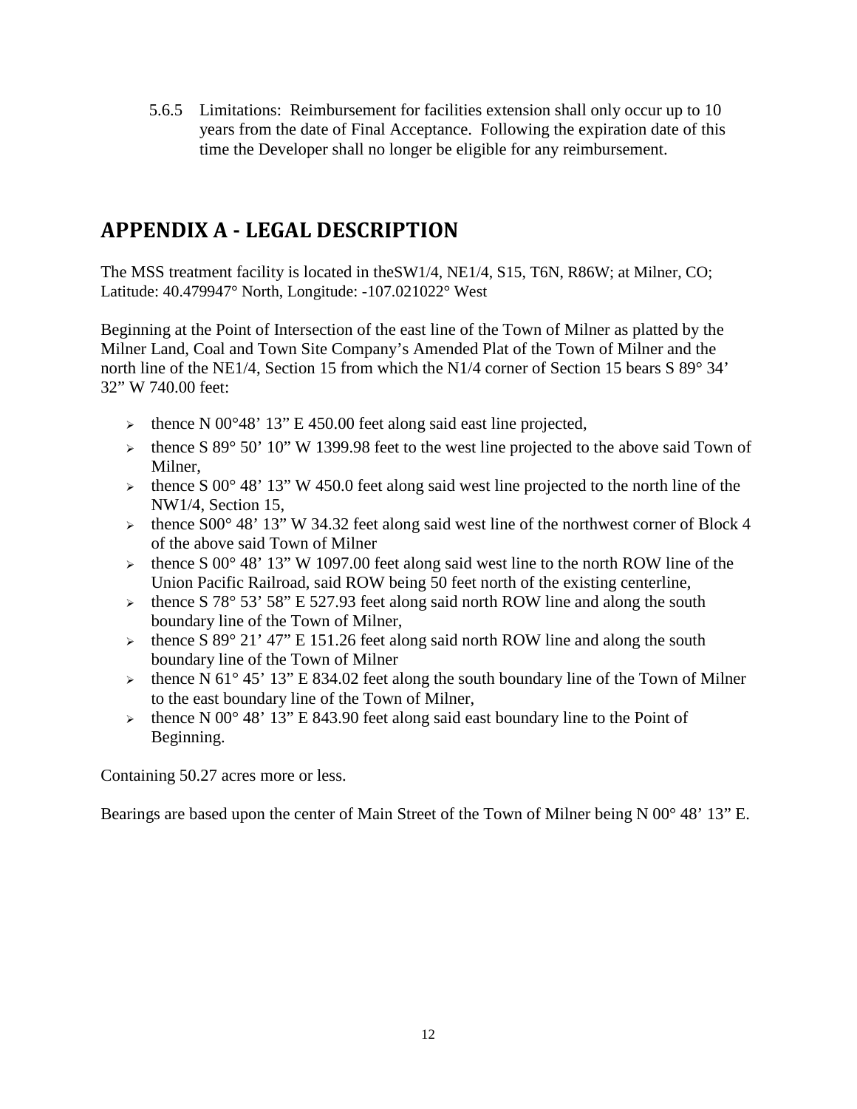5.6.5 Limitations: Reimbursement for facilities extension shall only occur up to 10 years from the date of Final Acceptance. Following the expiration date of this time the Developer shall no longer be eligible for any reimbursement.

# <span id="page-11-0"></span>**APPENDIX A - LEGAL DESCRIPTION**

The MSS treatment facility is located in theSW1/4, NE1/4, S15, T6N, R86W; at Milner, CO; Latitude: 40.479947° North, Longitude: -107.021022° West

Beginning at the Point of Intersection of the east line of the Town of Milner as platted by the Milner Land, Coal and Town Site Company's Amended Plat of the Town of Milner and the north line of the NE1/4, Section 15 from which the N1/4 corner of Section 15 bears S 89° 34' 32" W 740.00 feet:

- $\triangleright$  thence N 00°48' 13" E 450.00 feet along said east line projected,
- $\geq$  thence S 89° 50' 10" W 1399.98 feet to the west line projected to the above said Town of Milner,
- $\epsilon$  thence S 00° 48' 13" W 450.0 feet along said west line projected to the north line of the NW1/4, Section 15,
- $\triangleright$  thence S00° 48' 13" W 34.32 feet along said west line of the northwest corner of Block 4 of the above said Town of Milner
- $\epsilon$  thence S 00° 48' 13" W 1097.00 feet along said west line to the north ROW line of the Union Pacific Railroad, said ROW being 50 feet north of the existing centerline,
- $\geq$  thence S 78° 53' 58" E 527.93 feet along said north ROW line and along the south boundary line of the Town of Milner,
- $\geq$  thence S 89° 21' 47" E 151.26 feet along said north ROW line and along the south boundary line of the Town of Milner
- $\geq$  thence N 61° 45' 13" E 834.02 feet along the south boundary line of the Town of Milner to the east boundary line of the Town of Milner,
- $\geq$  thence N 00° 48' 13" E 843.90 feet along said east boundary line to the Point of Beginning.

Containing 50.27 acres more or less.

Bearings are based upon the center of Main Street of the Town of Milner being N 00° 48' 13" E.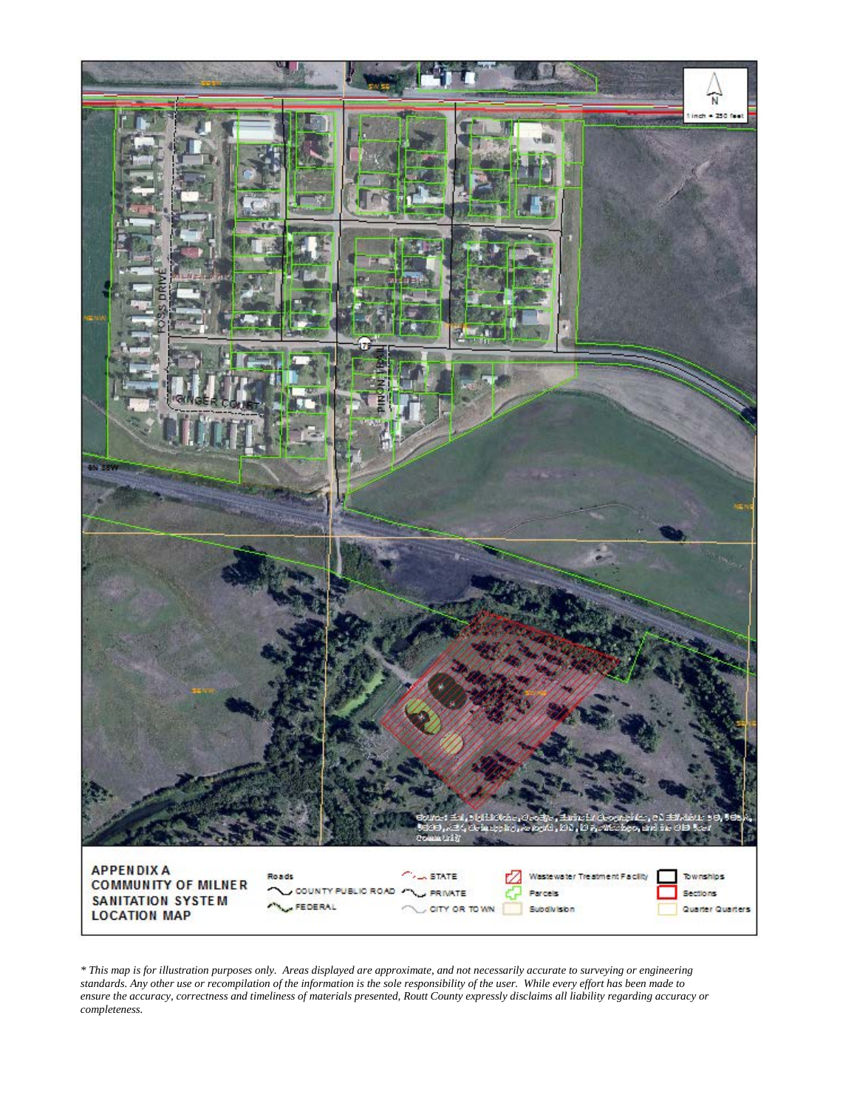

*\* This map is for illustration purposes only. Areas displayed are approximate, and not necessarily accurate to surveying or engineering standards. Any other use or recompilation of the information is the sole responsibility of the user. While every effort has been made to ensure the accuracy, correctness and timeliness of materials presented, Routt County expressly disclaims all liability regarding accuracy or completeness.*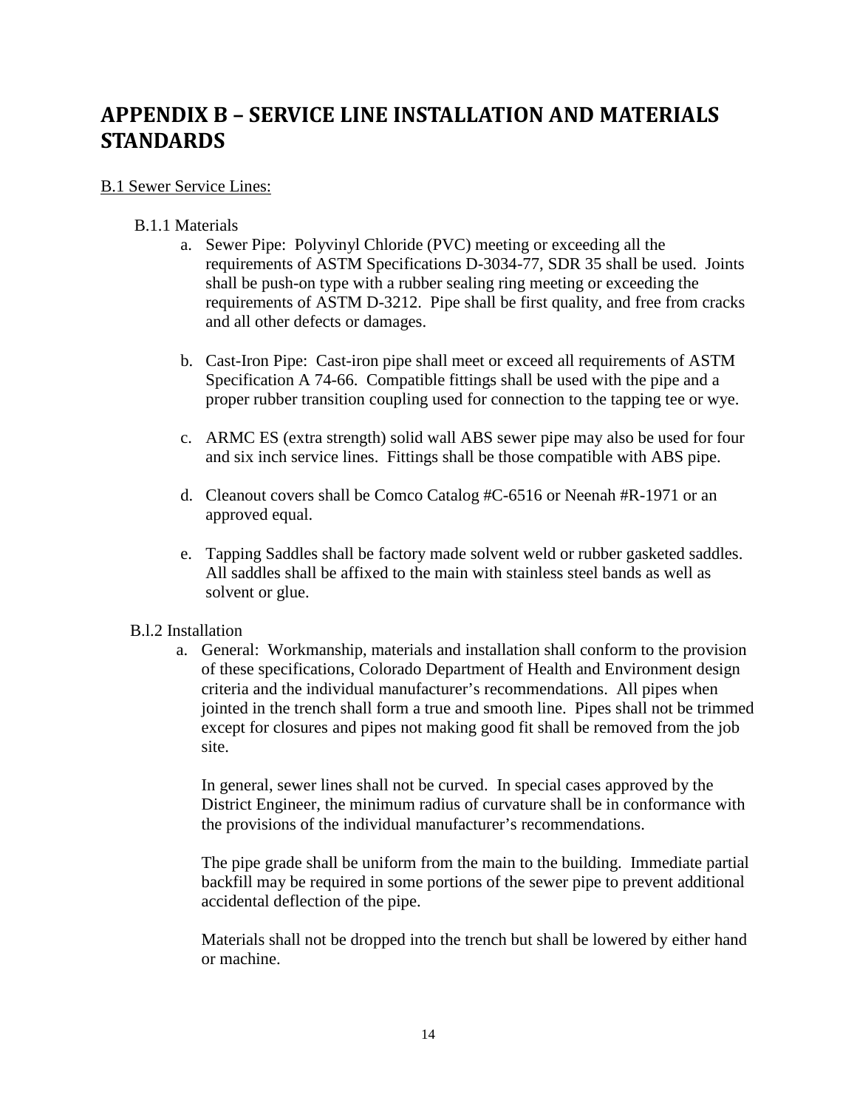# <span id="page-13-0"></span>**APPENDIX B – SERVICE LINE INSTALLATION AND MATERIALS STANDARDS**

#### B.1 Sewer Service Lines:

#### B.1.1 Materials

- a. Sewer Pipe: Polyvinyl Chloride (PVC) meeting or exceeding all the requirements of ASTM Specifications D-3034-77, SDR 35 shall be used. Joints shall be push-on type with a rubber sealing ring meeting or exceeding the requirements of ASTM D-3212. Pipe shall be first quality, and free from cracks and all other defects or damages.
- b. Cast-Iron Pipe: Cast-iron pipe shall meet or exceed all requirements of ASTM Specification A 74-66. Compatible fittings shall be used with the pipe and a proper rubber transition coupling used for connection to the tapping tee or wye.
- c. ARMC ES (extra strength) solid wall ABS sewer pipe may also be used for four and six inch service lines. Fittings shall be those compatible with ABS pipe.
- d. Cleanout covers shall be Comco Catalog #C-6516 or Neenah #R-1971 or an approved equal.
- e. Tapping Saddles shall be factory made solvent weld or rubber gasketed saddles. All saddles shall be affixed to the main with stainless steel bands as well as solvent or glue.

#### B.l.2 Installation

a. General: Workmanship, materials and installation shall conform to the provision of these specifications, Colorado Department of Health and Environment design criteria and the individual manufacturer's recommendations. All pipes when jointed in the trench shall form a true and smooth line. Pipes shall not be trimmed except for closures and pipes not making good fit shall be removed from the job site.

In general, sewer lines shall not be curved. In special cases approved by the District Engineer, the minimum radius of curvature shall be in conformance with the provisions of the individual manufacturer's recommendations.

The pipe grade shall be uniform from the main to the building. Immediate partial backfill may be required in some portions of the sewer pipe to prevent additional accidental deflection of the pipe.

Materials shall not be dropped into the trench but shall be lowered by either hand or machine.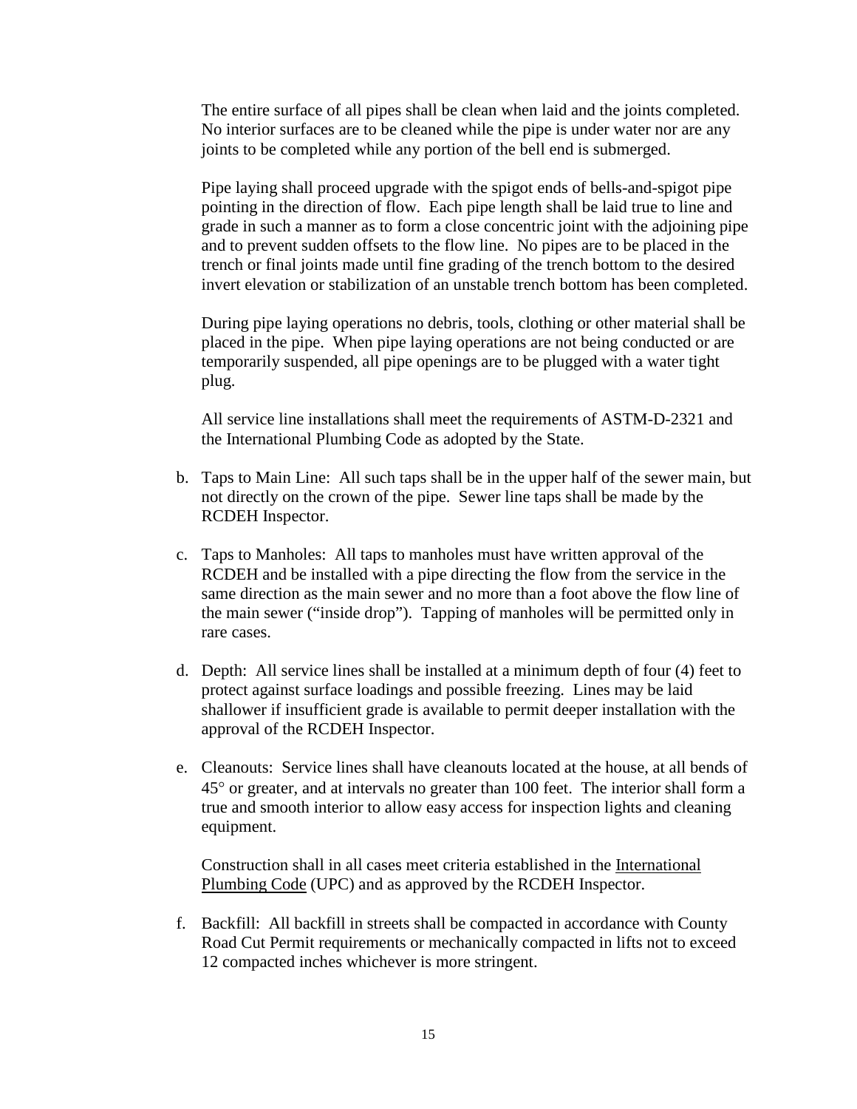The entire surface of all pipes shall be clean when laid and the joints completed. No interior surfaces are to be cleaned while the pipe is under water nor are any joints to be completed while any portion of the bell end is submerged.

Pipe laying shall proceed upgrade with the spigot ends of bells-and-spigot pipe pointing in the direction of flow. Each pipe length shall be laid true to line and grade in such a manner as to form a close concentric joint with the adjoining pipe and to prevent sudden offsets to the flow line. No pipes are to be placed in the trench or final joints made until fine grading of the trench bottom to the desired invert elevation or stabilization of an unstable trench bottom has been completed.

During pipe laying operations no debris, tools, clothing or other material shall be placed in the pipe. When pipe laying operations are not being conducted or are temporarily suspended, all pipe openings are to be plugged with a water tight plug.

All service line installations shall meet the requirements of ASTM-D-2321 and the International Plumbing Code as adopted by the State.

- b. Taps to Main Line: All such taps shall be in the upper half of the sewer main, but not directly on the crown of the pipe. Sewer line taps shall be made by the RCDEH Inspector.
- c. Taps to Manholes: All taps to manholes must have written approval of the RCDEH and be installed with a pipe directing the flow from the service in the same direction as the main sewer and no more than a foot above the flow line of the main sewer ("inside drop"). Tapping of manholes will be permitted only in rare cases.
- d. Depth: All service lines shall be installed at a minimum depth of four (4) feet to protect against surface loadings and possible freezing. Lines may be laid shallower if insufficient grade is available to permit deeper installation with the approval of the RCDEH Inspector.
- e. Cleanouts: Service lines shall have cleanouts located at the house, at all bends of 45° or greater, and at intervals no greater than 100 feet. The interior shall form a true and smooth interior to allow easy access for inspection lights and cleaning equipment.

Construction shall in all cases meet criteria established in the International Plumbing Code (UPC) and as approved by the RCDEH Inspector.

f. Backfill: All backfill in streets shall be compacted in accordance with County Road Cut Permit requirements or mechanically compacted in lifts not to exceed 12 compacted inches whichever is more stringent.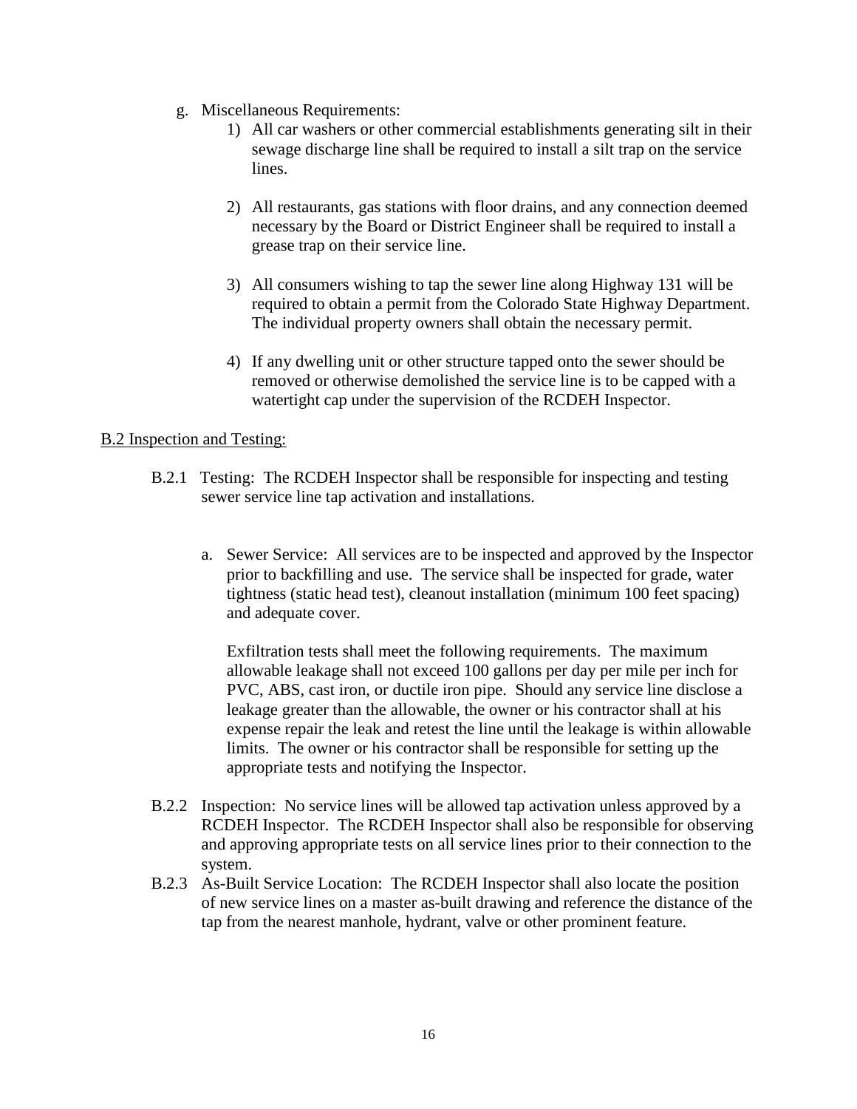- g. Miscellaneous Requirements:
	- 1) All car washers or other commercial establishments generating silt in their sewage discharge line shall be required to install a silt trap on the service lines.
	- 2) All restaurants, gas stations with floor drains, and any connection deemed necessary by the Board or District Engineer shall be required to install a grease trap on their service line.
	- 3) All consumers wishing to tap the sewer line along Highway 131 will be required to obtain a permit from the Colorado State Highway Department. The individual property owners shall obtain the necessary permit.
	- 4) If any dwelling unit or other structure tapped onto the sewer should be removed or otherwise demolished the service line is to be capped with a watertight cap under the supervision of the RCDEH Inspector.

#### B.2 Inspection and Testing:

- B.2.1 Testing: The RCDEH Inspector shall be responsible for inspecting and testing sewer service line tap activation and installations.
	- a. Sewer Service: All services are to be inspected and approved by the Inspector prior to backfilling and use. The service shall be inspected for grade, water tightness (static head test), cleanout installation (minimum 100 feet spacing) and adequate cover.

Exfiltration tests shall meet the following requirements. The maximum allowable leakage shall not exceed 100 gallons per day per mile per inch for PVC, ABS, cast iron, or ductile iron pipe. Should any service line disclose a leakage greater than the allowable, the owner or his contractor shall at his expense repair the leak and retest the line until the leakage is within allowable limits. The owner or his contractor shall be responsible for setting up the appropriate tests and notifying the Inspector.

- B.2.2 Inspection: No service lines will be allowed tap activation unless approved by a RCDEH Inspector. The RCDEH Inspector shall also be responsible for observing and approving appropriate tests on all service lines prior to their connection to the system.
- B.2.3 As-Built Service Location: The RCDEH Inspector shall also locate the position of new service lines on a master as-built drawing and reference the distance of the tap from the nearest manhole, hydrant, valve or other prominent feature.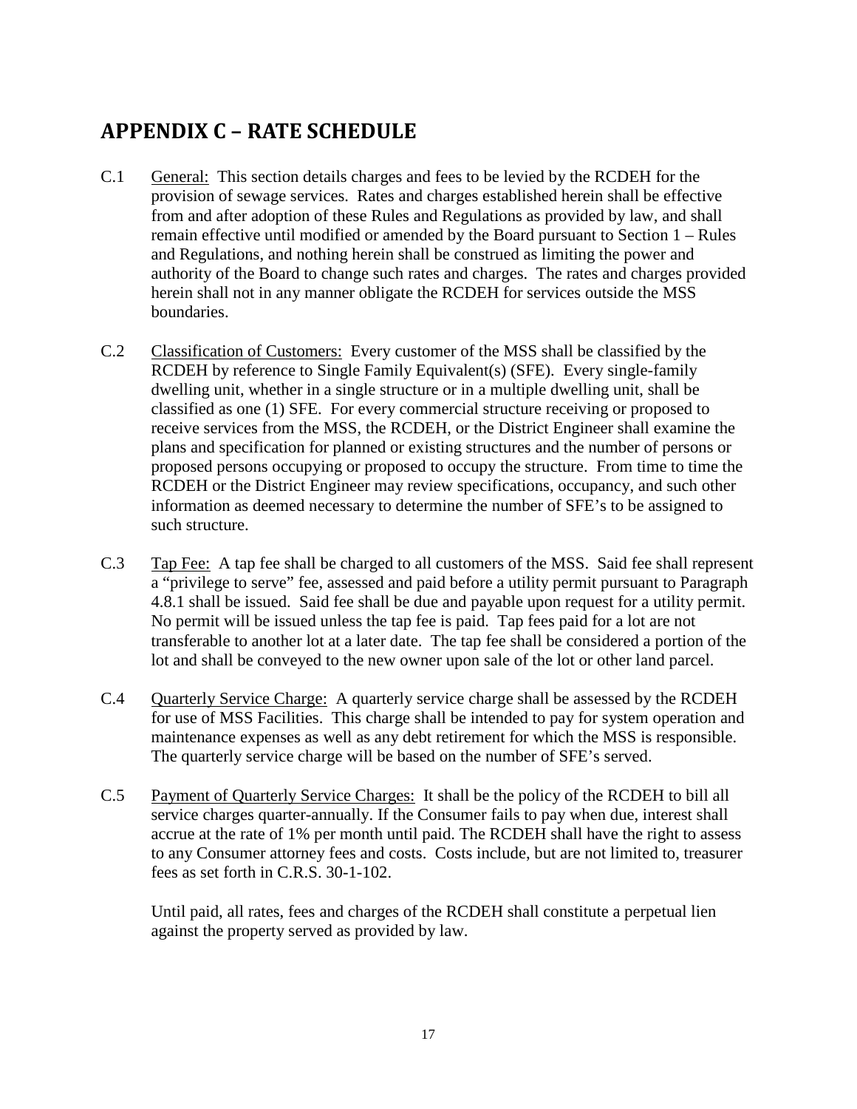# <span id="page-16-0"></span>**APPENDIX C – RATE SCHEDULE**

- C.1 General: This section details charges and fees to be levied by the RCDEH for the provision of sewage services. Rates and charges established herein shall be effective from and after adoption of these Rules and Regulations as provided by law, and shall remain effective until modified or amended by the Board pursuant to Section 1 – Rules and Regulations, and nothing herein shall be construed as limiting the power and authority of the Board to change such rates and charges. The rates and charges provided herein shall not in any manner obligate the RCDEH for services outside the MSS boundaries.
- C.2 Classification of Customers: Every customer of the MSS shall be classified by the RCDEH by reference to Single Family Equivalent(s) (SFE). Every single-family dwelling unit, whether in a single structure or in a multiple dwelling unit, shall be classified as one (1) SFE. For every commercial structure receiving or proposed to receive services from the MSS, the RCDEH, or the District Engineer shall examine the plans and specification for planned or existing structures and the number of persons or proposed persons occupying or proposed to occupy the structure. From time to time the RCDEH or the District Engineer may review specifications, occupancy, and such other information as deemed necessary to determine the number of SFE's to be assigned to such structure.
- C.3 Tap Fee: A tap fee shall be charged to all customers of the MSS. Said fee shall represent a "privilege to serve" fee, assessed and paid before a utility permit pursuant to Paragraph 4.8.1 shall be issued. Said fee shall be due and payable upon request for a utility permit. No permit will be issued unless the tap fee is paid. Tap fees paid for a lot are not transferable to another lot at a later date. The tap fee shall be considered a portion of the lot and shall be conveyed to the new owner upon sale of the lot or other land parcel.
- C.4 Quarterly Service Charge: A quarterly service charge shall be assessed by the RCDEH for use of MSS Facilities. This charge shall be intended to pay for system operation and maintenance expenses as well as any debt retirement for which the MSS is responsible. The quarterly service charge will be based on the number of SFE's served.
- C.5 Payment of Quarterly Service Charges: It shall be the policy of the RCDEH to bill all service charges quarter-annually. If the Consumer fails to pay when due, interest shall accrue at the rate of 1% per month until paid. The RCDEH shall have the right to assess to any Consumer attorney fees and costs. Costs include, but are not limited to, treasurer fees as set forth in C.R.S. 30-1-102.

Until paid, all rates, fees and charges of the RCDEH shall constitute a perpetual lien against the property served as provided by law.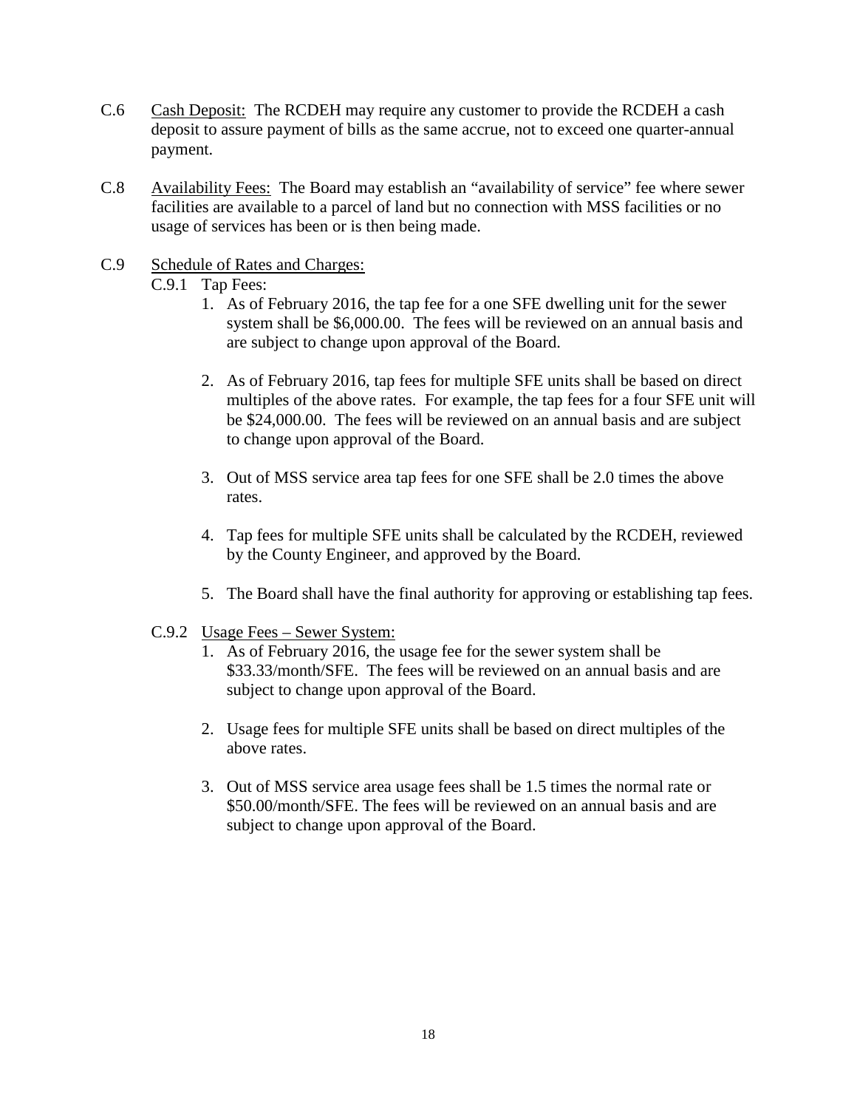- C.6 Cash Deposit: The RCDEH may require any customer to provide the RCDEH a cash deposit to assure payment of bills as the same accrue, not to exceed one quarter-annual payment.
- C.8 Availability Fees: The Board may establish an "availability of service" fee where sewer facilities are available to a parcel of land but no connection with MSS facilities or no usage of services has been or is then being made.
- C.9 Schedule of Rates and Charges: C.9.1 Tap Fees:
	- 1. As of February 2016, the tap fee for a one SFE dwelling unit for the sewer system shall be \$6,000.00. The fees will be reviewed on an annual basis and are subject to change upon approval of the Board.
	- 2. As of February 2016, tap fees for multiple SFE units shall be based on direct multiples of the above rates. For example, the tap fees for a four SFE unit will be \$24,000.00. The fees will be reviewed on an annual basis and are subject to change upon approval of the Board.
	- 3. Out of MSS service area tap fees for one SFE shall be 2.0 times the above rates.
	- 4. Tap fees for multiple SFE units shall be calculated by the RCDEH, reviewed by the County Engineer, and approved by the Board.
	- 5. The Board shall have the final authority for approving or establishing tap fees.
	- C.9.2 Usage Fees Sewer System:
		- 1. As of February 2016, the usage fee for the sewer system shall be \$33.33/month/SFE. The fees will be reviewed on an annual basis and are subject to change upon approval of the Board.
		- 2. Usage fees for multiple SFE units shall be based on direct multiples of the above rates.
		- 3. Out of MSS service area usage fees shall be 1.5 times the normal rate or \$50.00/month/SFE. The fees will be reviewed on an annual basis and are subject to change upon approval of the Board.